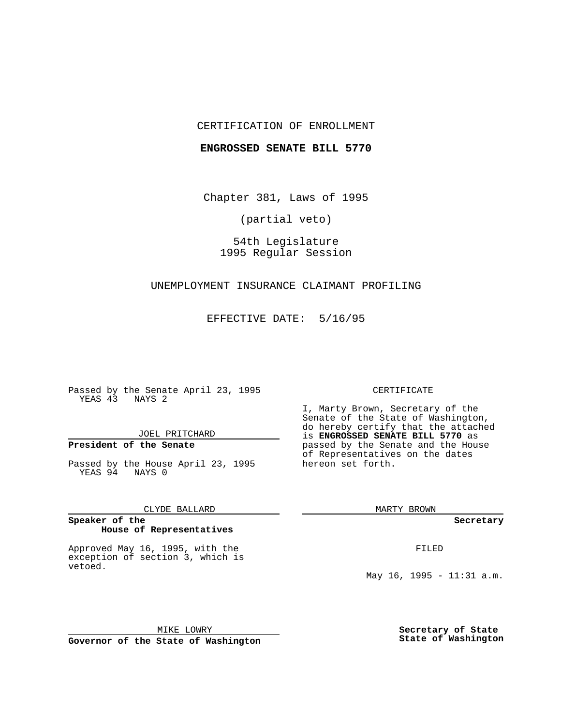## CERTIFICATION OF ENROLLMENT

### **ENGROSSED SENATE BILL 5770**

Chapter 381, Laws of 1995

(partial veto)

54th Legislature 1995 Regular Session

# UNEMPLOYMENT INSURANCE CLAIMANT PROFILING

EFFECTIVE DATE: 5/16/95

Passed by the Senate April 23, 1995 YEAS 43 NAYS 2

JOEL PRITCHARD

# **President of the Senate**

Passed by the House April 23, 1995 YEAS 94 NAYS 0

CLYDE BALLARD

#### **Speaker of the House of Representatives**

Approved May 16, 1995, with the exception of section 3, which is vetoed.

MIKE LOWRY **Governor of the State of Washington**

### CERTIFICATE

I, Marty Brown, Secretary of the Senate of the State of Washington, do hereby certify that the attached is **ENGROSSED SENATE BILL 5770** as passed by the Senate and the House of Representatives on the dates hereon set forth.

MARTY BROWN

**Secretary**

FILED

May 16, 1995 - 11:31 a.m.

**Secretary of State State of Washington**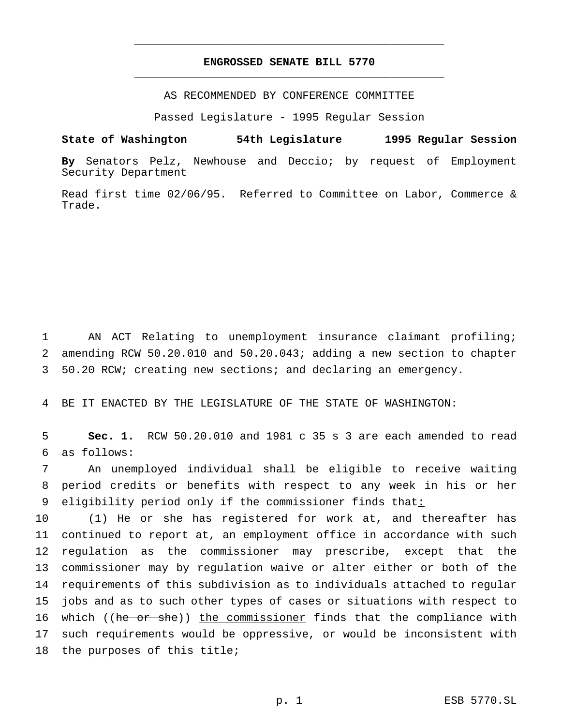# **ENGROSSED SENATE BILL 5770** \_\_\_\_\_\_\_\_\_\_\_\_\_\_\_\_\_\_\_\_\_\_\_\_\_\_\_\_\_\_\_\_\_\_\_\_\_\_\_\_\_\_\_\_\_\_\_

\_\_\_\_\_\_\_\_\_\_\_\_\_\_\_\_\_\_\_\_\_\_\_\_\_\_\_\_\_\_\_\_\_\_\_\_\_\_\_\_\_\_\_\_\_\_\_

AS RECOMMENDED BY CONFERENCE COMMITTEE

Passed Legislature - 1995 Regular Session

### **State of Washington 54th Legislature 1995 Regular Session**

**By** Senators Pelz, Newhouse and Deccio; by request of Employment Security Department

Read first time 02/06/95. Referred to Committee on Labor, Commerce & Trade.

1 AN ACT Relating to unemployment insurance claimant profiling; 2 amending RCW 50.20.010 and 50.20.043; adding a new section to chapter 3 50.20 RCW; creating new sections; and declaring an emergency.

4 BE IT ENACTED BY THE LEGISLATURE OF THE STATE OF WASHINGTON:

5 **Sec. 1.** RCW 50.20.010 and 1981 c 35 s 3 are each amended to read 6 as follows:

7 An unemployed individual shall be eligible to receive waiting 8 period credits or benefits with respect to any week in his or her 9 eligibility period only if the commissioner finds that:

 (1) He or she has registered for work at, and thereafter has continued to report at, an employment office in accordance with such regulation as the commissioner may prescribe, except that the commissioner may by regulation waive or alter either or both of the requirements of this subdivision as to individuals attached to regular jobs and as to such other types of cases or situations with respect to 16 which ((he or she)) the commissioner finds that the compliance with such requirements would be oppressive, or would be inconsistent with the purposes of this title;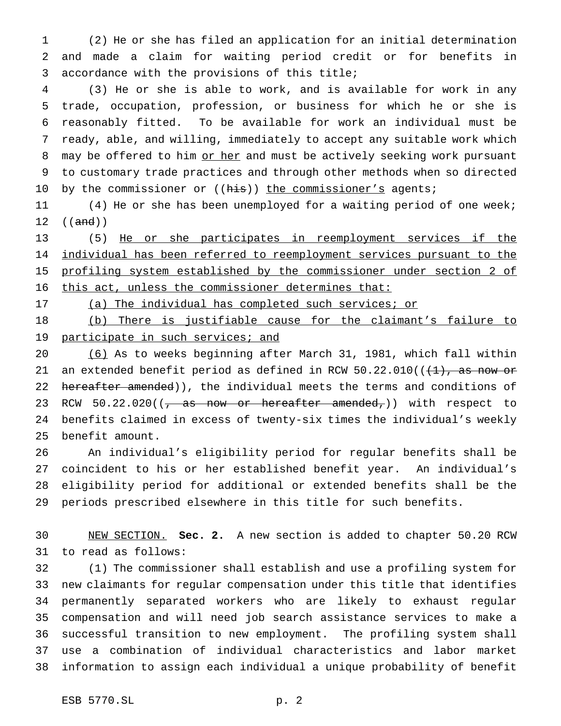(2) He or she has filed an application for an initial determination and made a claim for waiting period credit or for benefits in accordance with the provisions of this title;

 (3) He or she is able to work, and is available for work in any trade, occupation, profession, or business for which he or she is reasonably fitted. To be available for work an individual must be ready, able, and willing, immediately to accept any suitable work which 8 may be offered to him or her and must be actively seeking work pursuant to customary trade practices and through other methods when so directed 10 by the commissioner or ((his)) the commissioner's agents;

11 (4) He or she has been unemployed for a waiting period of one week;  $((and))$ 

 (5) He or she participates in reemployment services if the individual has been referred to reemployment services pursuant to the profiling system established by the commissioner under section 2 of this act, unless the commissioner determines that:

17 (a) The individual has completed such services; or

 (b) There is justifiable cause for the claimant's failure to 19 participate in such services; and

 (6) As to weeks beginning after March 31, 1981, which fall within 21 an extended benefit period as defined in RCW  $50.22.010$  ( $(\frac{11}{1}, \frac{1}{2})$ 22 hereafter amended)), the individual meets the terms and conditions of 23 RCW  $50.22.020$  ( $\sqrt{as}$  now or hereafter amended,)) with respect to benefits claimed in excess of twenty-six times the individual's weekly benefit amount.

 An individual's eligibility period for regular benefits shall be coincident to his or her established benefit year. An individual's eligibility period for additional or extended benefits shall be the periods prescribed elsewhere in this title for such benefits.

 NEW SECTION. **Sec. 2.** A new section is added to chapter 50.20 RCW to read as follows:

 (1) The commissioner shall establish and use a profiling system for new claimants for regular compensation under this title that identifies permanently separated workers who are likely to exhaust regular compensation and will need job search assistance services to make a successful transition to new employment. The profiling system shall use a combination of individual characteristics and labor market information to assign each individual a unique probability of benefit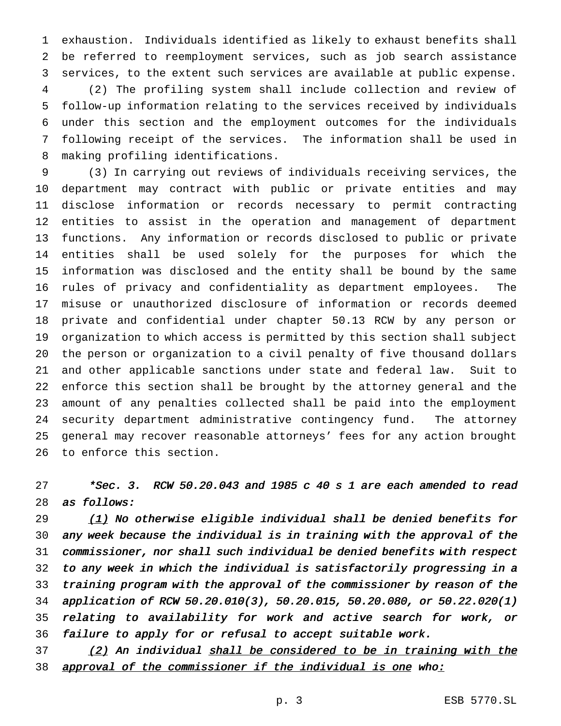exhaustion. Individuals identified as likely to exhaust benefits shall be referred to reemployment services, such as job search assistance services, to the extent such services are available at public expense. (2) The profiling system shall include collection and review of follow-up information relating to the services received by individuals under this section and the employment outcomes for the individuals following receipt of the services. The information shall be used in making profiling identifications.

 (3) In carrying out reviews of individuals receiving services, the department may contract with public or private entities and may disclose information or records necessary to permit contracting entities to assist in the operation and management of department functions. Any information or records disclosed to public or private entities shall be used solely for the purposes for which the information was disclosed and the entity shall be bound by the same rules of privacy and confidentiality as department employees. The misuse or unauthorized disclosure of information or records deemed private and confidential under chapter 50.13 RCW by any person or organization to which access is permitted by this section shall subject the person or organization to a civil penalty of five thousand dollars and other applicable sanctions under state and federal law. Suit to enforce this section shall be brought by the attorney general and the amount of any penalties collected shall be paid into the employment security department administrative contingency fund. The attorney general may recover reasonable attorneys' fees for any action brought to enforce this section.

 \*Sec. 3. RCW 50.20.043 and 1985 c 40 s 1 are each amended to read as follows:

 $(1)$  No otherwise eligible individual shall be denied benefits for any week because the individual is in training with the approval of the commissioner, nor shall such individual be denied benefits with respect to any week in which the individual is satisfactorily progressing in <sup>a</sup> training program with the approval of the commissioner by reason of the application of RCW 50.20.010(3), 50.20.015, 50.20.080, or 50.22.020(1) relating to availability for work and active search for work, or failure to apply for or refusal to accept suitable work.

 (2) An individual shall be considered to be in training with the 38 approval of the commissioner if the individual is one who: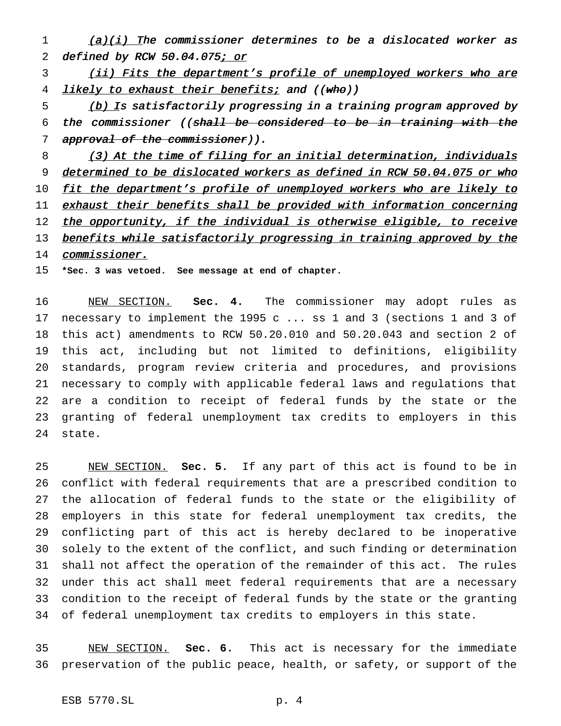1 (a)(i) The commissioner determines to be a dislocated worker as 2 defined by RCW 50.04.075; or

3 (ii) Fits the department's profile of unemployed workers who are 4 likely to exhaust their benefits; and ((who))

5 (b) Is satisfactorily progressing in a training program approved by the commissioner ((shall be considered to be in training with the 7 approval of the commissioner)).

8 (3) At the time of filing for an initial determination, individuals determined to be dislocated workers as defined in RCW 50.04.075 or who 10 fit the department's profile of unemployed workers who are likely to 11 exhaust their benefits shall be provided with information concerning 12 the opportunity, if the individual is otherwise eligible, to receive 13 benefits while satisfactorily progressing in training approved by the 14 commissioner.

**\*Sec. 3 was vetoed. See message at end of chapter.**

 NEW SECTION. **Sec. 4.** The commissioner may adopt rules as necessary to implement the 1995 c ... ss 1 and 3 (sections 1 and 3 of this act) amendments to RCW 50.20.010 and 50.20.043 and section 2 of this act, including but not limited to definitions, eligibility standards, program review criteria and procedures, and provisions necessary to comply with applicable federal laws and regulations that are a condition to receipt of federal funds by the state or the granting of federal unemployment tax credits to employers in this state.

 NEW SECTION. **Sec. 5.** If any part of this act is found to be in conflict with federal requirements that are a prescribed condition to the allocation of federal funds to the state or the eligibility of employers in this state for federal unemployment tax credits, the conflicting part of this act is hereby declared to be inoperative solely to the extent of the conflict, and such finding or determination shall not affect the operation of the remainder of this act. The rules under this act shall meet federal requirements that are a necessary condition to the receipt of federal funds by the state or the granting of federal unemployment tax credits to employers in this state.

 NEW SECTION. **Sec. 6.** This act is necessary for the immediate preservation of the public peace, health, or safety, or support of the